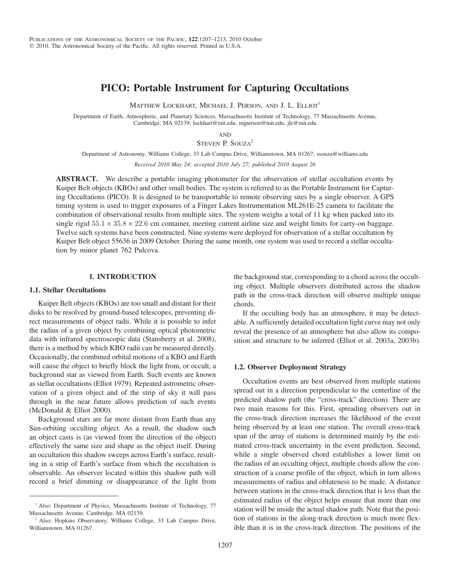# PICO: Portable Instrument for Capturing Occultations

MATTHEW LOCKHART, MICHAEL J. PERSON, AND J. L. ELLIOT<sup>1</sup>

Department of Earth, Atmospheric, and Planetary Sciences, Massachusetts Institute of Technology, 77 Massachusetts Avenue, Cambridge, MA 02139; lockhart@mit.edu, mjperson@mit.edu, jle@mit.edu

AND

STEVEN P. SOUZA<sup>2</sup>

Department of Astronomy, Williams College, 33 Lab Campus Drive, Williamstown, MA 01267; ssouza@williams.edu

Received 2010 May 24; accepted 2010 July 27; published 2010 August 26

ABSTRACT. We describe a portable imaging photometer for the observation of stellar occultation events by Kuiper Belt objects (KBOs) and other small bodies. The system is referred to as the Portable Instrument for Capturing Occultations (PICO). It is designed to be transportable to remote observing sites by a single observer. A GPS timing system is used to trigger exposures of a Finger Lakes Instrumentation ML261E-25 camera to facilitate the combination of observational results from multiple sites. The system weighs a total of 11 kg when packed into its single rigid  $55.1 \times 35.8 \times 22.6$  cm container, meeting current airline size and weight limits for carry-on baggage. Twelve such systems have been constructed. Nine systems were deployed for observation of a stellar occultation by Kuiper Belt object 55636 in 2009 October. During the same month, one system was used to record a stellar occultation by minor planet 762 Pulcova.

# 1. INTRODUCTION

## 1.1. Stellar Occultations

Kuiper Belt objects (KBOs) are too small and distant for their disks to be resolved by ground-based telescopes, preventing direct measurements of object radii. While it is possible to infer the radius of a given object by combining optical photometric data with infrared spectroscopic data (Stansberry et al. 2008), there is a method by which KBO radii can be measured directly. Occasionally, the combined orbital motions of a KBO and Earth will cause the object to briefly block the light from, or occult, a background star as viewed from Earth. Such events are known as stellar occultations (Elliot 1979). Repeated astrometric observation of a given object and of the strip of sky it will pass through in the near future allows prediction of such events (McDonald & Elliot 2000).

Background stars are far more distant from Earth than any Sun-orbiting occulting object. As a result, the shadow such an object casts is (as viewed from the direction of the object) effectively the same size and shape as the object itself. During an occultation this shadow sweeps across Earth's surface, resulting in a strip of Earth's surface from which the occultation is observable. An observer located within this shadow path will record a brief dimming or disappearance of the light from

the background star, corresponding to a chord across the occulting object. Multiple observers distributed across the shadow path in the cross-track direction will observe multiple unique chords.

If the occulting body has an atmosphere, it may be detectable. A sufficiently detailed occultation light curve may not only reveal the presence of an atmosphere but also allow its composition and structure to be inferred (Elliot et al. 2003a, 2003b).

#### 1.2. Observer Deployment Strategy

Occultation events are best observed from multiple stations spread out in a direction perpendicular to the centerline of the predicted shadow path (the "cross-track" direction). There are two main reasons for this. First, spreading observers out in the cross-track direction increases the likelihood of the event being observed by at least one station. The overall cross-track span of the array of stations is determined mainly by the estimated cross-track uncertainty in the event prediction. Second, while a single observed chord establishes a lower limit on the radius of an occulting object, multiple chords allow the construction of a coarse profile of the object, which in turn allows measurements of radius and oblateness to be made. A distance between stations in the cross-track direction that is less than the estimated radius of the object helps ensure that more than one station will be inside the actual shadow path. Note that the position of stations in the along-track direction is much more flexible than it is in the cross-track direction. The positions of the

<sup>&</sup>lt;sup>1</sup> Also: Department of Physics, Massachusetts Institute of Technology, 77 Massachusetts Avenue, Cambridge, MA 02139.

<sup>&</sup>lt;sup>2</sup> Also: Hopkins Observatory, Williams College, 33 Lab Campus Drive, Williamstown, MA 01267.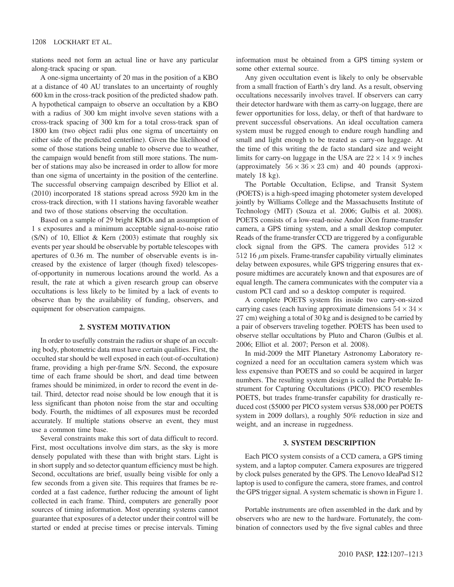stations need not form an actual line or have any particular along-track spacing or span.

A one-sigma uncertainty of 20 mas in the position of a KBO at a distance of 40 AU translates to an uncertainty of roughly 600 km in the cross-track position of the predicted shadow path. A hypothetical campaign to observe an occultation by a KBO with a radius of 300 km might involve seven stations with a cross-track spacing of 300 km for a total cross-track span of 1800 km (two object radii plus one sigma of uncertainty on either side of the predicted centerline). Given the likelihood of some of those stations being unable to observe due to weather, the campaign would benefit from still more stations. The number of stations may also be increased in order to allow for more than one sigma of uncertainty in the position of the centerline. The successful observing campaign described by Elliot et al. (2010) incorporated 18 stations spread across 5920 km in the cross-track direction, with 11 stations having favorable weather and two of those stations observing the occultation.

Based on a sample of 29 bright KBOs and an assumption of 1 s exposures and a minimum acceptable signal-to-noise ratio (S/N) of 10, Elliot & Kern (2003) estimate that roughly six events per year should be observable by portable telescopes with apertures of 0.36 m. The number of observable events is increased by the existence of larger (though fixed) telescopesof-opportunity in numerous locations around the world. As a result, the rate at which a given research group can observe occultations is less likely to be limited by a lack of events to observe than by the availability of funding, observers, and equipment for observation campaigns.

# 2. SYSTEM MOTIVATION

In order to usefully constrain the radius or shape of an occulting body, photometric data must have certain qualities. First, the occulted star should be well exposed in each (out-of-occultation) frame, providing a high per-frame S/N. Second, the exposure time of each frame should be short, and dead time between frames should be minimized, in order to record the event in detail. Third, detector read noise should be low enough that it is less significant than photon noise from the star and occulting body. Fourth, the midtimes of all exposures must be recorded accurately. If multiple stations observe an event, they must use a common time base.

Several constraints make this sort of data difficult to record. First, most occultations involve dim stars, as the sky is more densely populated with these than with bright stars. Light is in short supply and so detector quantum efficiency must be high. Second, occultations are brief, usually being visible for only a few seconds from a given site. This requires that frames be recorded at a fast cadence, further reducing the amount of light collected in each frame. Third, computers are generally poor sources of timing information. Most operating systems cannot guarantee that exposures of a detector under their control will be started or ended at precise times or precise intervals. Timing information must be obtained from a GPS timing system or some other external source.

Any given occultation event is likely to only be observable from a small fraction of Earth's dry land. As a result, observing occultations necessarily involves travel. If observers can carry their detector hardware with them as carry-on luggage, there are fewer opportunities for loss, delay, or theft of that hardware to prevent successful observations. An ideal occultation camera system must be rugged enough to endure rough handling and small and light enough to be treated as carry-on luggage. At the time of this writing the de facto standard size and weight limits for carry-on luggage in the USA are  $22 \times 14 \times 9$  inches (approximately  $56 \times 36 \times 23$  cm) and 40 pounds (approximately 18 kg).

The Portable Occultation, Eclipse, and Transit System (POETS) is a high-speed imaging photometer system developed jointly by Williams College and the Massachusetts Institute of Technology (MIT) (Souza et al. 2006; Gulbis et al. 2008). POETS consists of a low-read-noise Andor iXon frame-transfer camera, a GPS timing system, and a small desktop computer. Reads of the frame-transfer CCD are triggered by a configurable clock signal from the GPS. The camera provides  $512 \times$  $512$  16  $\mu$ m pixels. Frame-transfer capability virtually eliminates delay between exposures, while GPS triggering ensures that exposure midtimes are accurately known and that exposures are of equal length. The camera communicates with the computer via a custom PCI card and so a desktop computer is required.

A complete POETS system fits inside two carry-on-sized carrying cases (each having approximate dimensions  $54 \times 34 \times$ 27 cm) weighing a total of 30 kg and is designed to be carried by a pair of observers traveling together. POETS has been used to observe stellar occultations by Pluto and Charon (Gulbis et al. 2006; Elliot et al. 2007; Person et al. 2008).

In mid-2009 the MIT Planetary Astronomy Laboratory recognized a need for an occultation camera system which was less expensive than POETS and so could be acquired in larger numbers. The resulting system design is called the Portable Instrument for Capturing Occultations (PICO). PICO resembles POETS, but trades frame-transfer capability for drastically reduced cost (\$5000 per PICO system versus \$38,000 per POETS system in 2009 dollars), a roughly 50% reduction in size and weight, and an increase in ruggedness.

## 3. SYSTEM DESCRIPTION

Each PICO system consists of a CCD camera, a GPS timing system, and a laptop computer. Camera exposures are triggered by clock pulses generated by the GPS. The Lenovo IdeaPad S12 laptop is used to configure the camera, store frames, and control the GPS trigger signal. A system schematic is shown in Figure 1.

Portable instruments are often assembled in the dark and by observers who are new to the hardware. Fortunately, the combination of connectors used by the five signal cables and three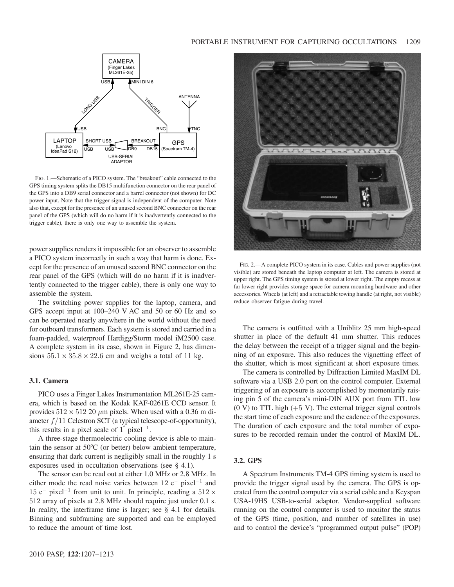# PORTABLE INSTRUMENT FOR CAPTURING OCCULTATIONS 1209



FIG. 1.—Schematic of a PICO system. The "breakout" cable connected to the GPS timing system splits the DB15 multifunction connector on the rear panel of the GPS into a DB9 serial connector and a barrel connector (not shown) for DC power input. Note that the trigger signal is independent of the computer. Note also that, except for the presence of an unused second BNC connector on the rear panel of the GPS (which will do no harm if it is inadvertently connected to the trigger cable), there is only one way to assemble the system.

power supplies renders it impossible for an observer to assemble a PICO system incorrectly in such a way that harm is done. Except for the presence of an unused second BNC connector on the rear panel of the GPS (which will do no harm if it is inadvertently connected to the trigger cable), there is only one way to assemble the system.

The switching power supplies for the laptop, camera, and GPS accept input at 100–240 V AC and 50 or 60 Hz and so can be operated nearly anywhere in the world without the need for outboard transformers. Each system is stored and carried in a foam-padded, waterproof Hardigg/Storm model iM2500 case. A complete system in its case, shown in Figure 2, has dimensions  $55.1 \times 35.8 \times 22.6$  cm and weighs a total of 11 kg.

#### 3.1. Camera

PICO uses a Finger Lakes Instrumentation ML261E-25 camera, which is based on the Kodak KAF-0261E CCD sensor. It provides  $512 \times 512$  20  $\mu$ m pixels. When used with a 0.36 m diameter  $f/11$  Celestron SCT (a typical telescope-of-opportunity), this results in a pixel scale of  $1^{\degree}$  pixel<sup>-1</sup>.

A three-stage thermoelectric cooling device is able to maintain the sensor at 50°C (or better) below ambient temperature, ensuring that dark current is negligibly small in the roughly 1 s exposures used in occultation observations (see § 4.1).

The sensor can be read out at either 1.0 MHz or 2.8 MHz. In either mode the read noise varies between  $12 e^{-}$  pixel<sup>-1</sup> and 15 e<sup>-</sup> pixel<sup>-1</sup> from unit to unit. In principle, reading a 512  $\times$ 512 array of pixels at 2.8 MHz should require just under 0.1 s. In reality, the interframe time is larger; see § 4.1 for details. Binning and subframing are supported and can be employed to reduce the amount of time lost.



FIG. 2.—A complete PICO system in its case. Cables and power supplies (not visible) are stored beneath the laptop computer at left. The camera is stored at upper right. The GPS timing system is stored at lower right. The empty recess at far lower right provides storage space for camera mounting hardware and other accessories. Wheels (at left) and a retractable towing handle (at right, not visible) reduce observer fatigue during travel.

The camera is outfitted with a Uniblitz 25 mm high-speed shutter in place of the default 41 mm shutter. This reduces the delay between the receipt of a trigger signal and the beginning of an exposure. This also reduces the vignetting effect of the shutter, which is most significant at short exposure times.

The camera is controlled by Diffraction Limited MaxIM DL software via a USB 2.0 port on the control computer. External triggering of an exposure is accomplished by momentarily raising pin 5 of the camera's mini-DIN AUX port from TTL low  $(0 V)$  to TTL high  $(+5 V)$ . The external trigger signal controls the start time of each exposure and the cadence of the exposures. The duration of each exposure and the total number of exposures to be recorded remain under the control of MaxIM DL.

## 3.2. GPS

A Spectrum Instruments TM-4 GPS timing system is used to provide the trigger signal used by the camera. The GPS is operated from the control computer via a serial cable and a Keyspan USA-19HS USB-to-serial adaptor. Vendor-supplied software running on the control computer is used to monitor the status of the GPS (time, position, and number of satellites in use) and to control the device's "programmed output pulse" (POP)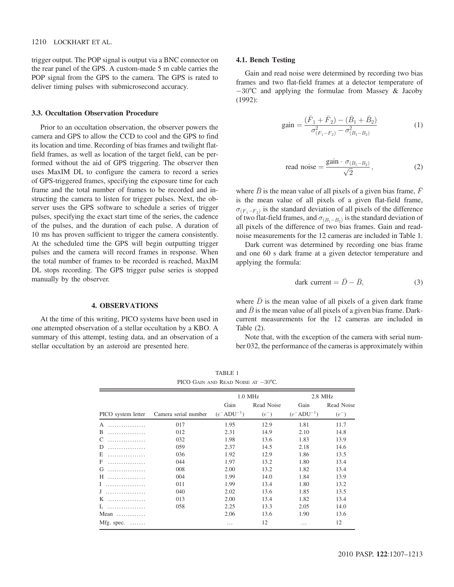trigger output. The POP signal is output via a BNC connector on the rear panel of the GPS. A custom-made 5 m cable carries the POP signal from the GPS to the camera. The GPS is rated to deliver timing pulses with submicrosecond accuracy.

#### 3.3. Occultation Observation Procedure

Prior to an occultation observation, the observer powers the camera and GPS to allow the CCD to cool and the GPS to find its location and time. Recording of bias frames and twilight flatfield frames, as well as location of the target field, can be performed without the aid of GPS triggering. The observer then uses MaxIM DL to configure the camera to record a series of GPS-triggered frames, specifying the exposure time for each frame and the total number of frames to be recorded and instructing the camera to listen for trigger pulses. Next, the observer uses the GPS software to schedule a series of trigger pulses, specifying the exact start time of the series, the cadence of the pulses, and the duration of each pulse. A duration of 10 ms has proven sufficient to trigger the camera consistently. At the scheduled time the GPS will begin outputting trigger pulses and the camera will record frames in response. When the total number of frames to be recorded is reached, MaxIM DL stops recording. The GPS trigger pulse series is stopped manually by the observer.

## 4. OBSERVATIONS

At the time of this writing, PICO systems have been used in one attempted observation of a stellar occultation by a KBO. A summary of this attempt, testing data, and an observation of a stellar occultation by an asteroid are presented here.

#### 4.1. Bench Testing

Gain and read noise were determined by recording two bias frames and two flat-field frames at a detector temperature of  $-30^{\circ}$ C and applying the formulae from Massey & Jacoby (1992):

$$
gain = \frac{(\bar{F}_1 + \bar{F}_2) - (\bar{B}_1 + \bar{B}_2)}{\sigma_{(F_1 - F_2)}^2 - \sigma_{(B_1 - B_2)}^2}
$$
(1)

read noise = 
$$
\frac{\text{gain} \cdot \sigma_{(B_1 - B_2)}}{\sqrt{2}},
$$
 (2)

where  $\bar{B}$  is the mean value of all pixels of a given bias frame,  $\bar{F}$ is the mean value of all pixels of a given flat-field frame,  $\sigma_{(F_1-F_2)}$  is the standard deviation of all pixels of the difference of two flat-field frames, and  $\sigma_{(B_1-B_2)}$  is the standard deviation of all pixels of the difference of two bias frames. Gain and readnoise measurements for the 12 cameras are included in Table 1.

Dark current was determined by recording one bias frame and one 60 s dark frame at a given detector temperature and applying the formula:

$$
dark current = \bar{D} - \bar{B}, \qquad (3)
$$

where  $\bar{D}$  is the mean value of all pixels of a given dark frame and  $B$  is the mean value of all pixels of a given bias frame. Darkcurrent measurements for the 12 cameras are included in Table (2).

Note that, with the exception of the camera with serial number 032, the performance of the cameras is approximately within

PICO GAIN AND READ NOISE AT  $-30^{\circ}$ C. 1.0 MHz 2.8 MHz Gain Read Noise Gain Read Noise PICO system letter Camera serial number  $(e^{-}ADU^{-1})$   $(e^{-})$   $(e^{-}ADU^{-1})$   $(e^{-})$ A . . .. . . . .. . . . .. . . . 017 1.95 12.9 1.81 11.7 B . . .. . . . .. . . . .. . . . 012 2.31 14.9 2.10 14.8 C . . .. . . . .. . . . .. . . . 032 1.98 13.6 1.83 13.9 D . . .. . . . .. . . . .. . . . 059 2.37 14.5 2.18 14.6 E . . .. . . . .. . . . .. . . . 036 1.92 12.9 1.86 13.5 F . . .. . . . .. . . . .. . . . 044 1.97 13.2 1.80 13.4 G . . .. . . . .. . . . .. . . . 008 2.00 13.2 1.82 13.4 H . . .. . . . .. . . . .. . . . 004 1.99 14.0 1.84 13.9 I . . . .. . . . .. . . . .. . . . 011 1.99 13.4 1.80 13.2 J . . . .. . . . .. . . . .. . . . 040 2.02 13.6 1.85 13.5 K . . .. . . . .. . . . .. . . . 013 2.00 13.4 1.82 13.4 L . . .. . . . .. . . . .. . . . 058 2.25 13.3 2.05 14.0 Mean ............. 2.06 13.6 1.90 13.6 Mfg. spec. . . ..... … 12 … 12

TABLE 1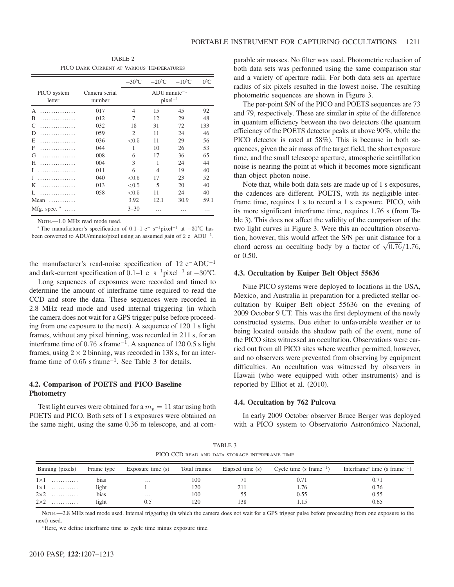TABLE 2 PICO DARK CURRENT AT VARIOUS TEMPERATURES

|                       |                         | $-30^{\circ}$ C                            | $-20^{\circ}$ C | $-10^{\circ}$ C | $0^{\circ}$ C |
|-----------------------|-------------------------|--------------------------------------------|-----------------|-----------------|---------------|
| PICO system<br>letter | Camera serial<br>number | $ADU$ minute <sup>-1</sup><br>$pixel^{-1}$ |                 |                 |               |
| A<br>.                | 017                     | $\overline{4}$                             | 15              | 45              | 92            |
| B<br>.                | 012                     | 7                                          | 12              | 29              | 48            |
| C<br>.                | 032                     | 18                                         | 31              | 72              | 133           |
| D<br>.                | 059                     | $\overline{2}$                             | 11              | 24              | 46            |
| E<br>.                | 036                     | ${<}0.5$                                   | 11              | 29              | 56            |
| F<br>.                | 044                     | 1                                          | 10              | 26              | 53            |
| G<br>.                | 008                     | 6                                          | 17              | 36              | 65            |
| H<br>.                | 004                     | 3                                          |                 | 24              | 44            |
| I<br>.                | 011                     | 6                                          | $\overline{4}$  | 19              | 40            |
| I<br>.                | 040                     | ${<}0.5$                                   | 17              | 23              | 52            |
| K<br>. <b>.</b>       | 013                     | ${<}0.5$                                   | 5               | 20              | 40            |
| .                     | 058                     | ${<}0.5$                                   | 11              | 24              | 40            |
| Mean<br>.             |                         | 3.92                                       | 12.1            | 30.9            | 59.1          |
| Mfg. spec. $\degree$  |                         | $3 - 30$                                   |                 |                 |               |

NOTE.—1.0 MHz read mode used.

<sup>a</sup> The manufacturer's specification of 0.1–1 e<sup>-</sup> s<sup>-1</sup>pixel<sup>-1</sup> at -30°C has been converted to ADU/minute/pixel using an assumed gain of  $2 e$ -ADU<sup>-1</sup>.

the manufacturer's read-noise specification of  $12 e$ -ADU<sup>-1</sup> and dark-current specification of  $0.1-1$  e<sup>-s-1</sup>pixel<sup>-1</sup> at  $-30^{\circ}$ C.

Long sequences of exposures were recorded and timed to determine the amount of interframe time required to read the CCD and store the data. These sequences were recorded in 2.8 MHz read mode and used internal triggering (in which the camera does not wait for a GPS trigger pulse before proceeding from one exposure to the next). A sequence of 120 1 s light frames, without any pixel binning, was recorded in 211 s, for an interframe time of  $0.76$  s frame<sup>-1</sup>. A sequence of 120 0.5 s light frames, using  $2 \times 2$  binning, was recorded in 138 s, for an interframe time of  $0.65$  s frame<sup>-1</sup>. See Table 3 for details.

## 4.2. Comparison of POETS and PICO Baseline **Photometry**

Test light curves were obtained for a  $m<sub>v</sub> = 11$  star using both POETS and PICO. Both sets of 1 s exposures were obtained on the same night, using the same 0.36 m telescope, and at comparable air masses. No filter was used. Photometric reduction of both data sets was performed using the same comparison star and a variety of aperture radii. For both data sets an aperture radius of six pixels resulted in the lowest noise. The resulting photometric sequences are shown in Figure 3.

The per-point S/N of the PICO and POETS sequences are 73 and 79, respectively. These are similar in spite of the difference in quantum efficiency between the two detectors (the quantum efficiency of the POETS detector peaks at above 90%, while the PICO detector is rated at 58%). This is because in both sequences, given the air mass of the target field, the short exposure time, and the small telescope aperture, atmospheric scintillation noise is nearing the point at which it becomes more significant than object photon noise.

Note that, while both data sets are made up of 1 s exposures, the cadences are different. POETS, with its negligible interframe time, requires 1 s to record a 1 s exposure. PICO, with its more significant interframe time, requires 1.76 s (from Table 3). This does not affect the validity of the comparison of the two light curves in Figure 3. Were this an occultation observation, however, this would affect the S/N per unit distance for a tion, however, this would affect the S/N per unit distance for a chord across an occulting body by a factor of  $\sqrt{0.76}/1.76$ , or 0.50.

#### 4.3. Occultation by Kuiper Belt Object 55636

Nine PICO systems were deployed to locations in the USA, Mexico, and Australia in preparation for a predicted stellar occultation by Kuiper Belt object 55636 on the evening of 2009 October 9 UT. This was the first deployment of the newly constructed systems. Due either to unfavorable weather or to being located outside the shadow path of the event, none of the PICO sites witnessed an occultation. Observations were carried out from all PICO sites where weather permitted, however, and no observers were prevented from observing by equipment difficulties. An occultation was witnessed by observers in Hawaii (who were equipped with other instruments) and is reported by Elliot et al. (2010).

### 4.4. Occultation by 762 Pulcova

In early 2009 October observer Bruce Berger was deployed with a PICO system to Observatorio Astronómico Nacional,

TABLE 3 PICO CCD READ AND DATA STORAGE INTERFRAME TIME

| Binning (pixels) |       | Frame type Exposure time (s) Total frames |     |     | Elapsed time (s) Cycle time (s frame <sup>-1</sup> ) | Interframe <sup>a</sup> time (s frame <sup>-1</sup> ) |
|------------------|-------|-------------------------------------------|-----|-----|------------------------------------------------------|-------------------------------------------------------|
| $1 \times 1$     | bias  | $\cdots$                                  | 100 |     |                                                      |                                                       |
| $1 \times 1$     | light |                                           | 120 |     | 1.76                                                 | 0.76                                                  |
| $2 \times 2$     | bias  | $\cdots$                                  | 100 |     | 0.55                                                 | 0.55                                                  |
| $2 \times 2$     | light |                                           | 120 | 138 | 1.15                                                 | 0.65                                                  |

NOTE.—2.8 MHz read mode used. Internal triggering (in which the camera does not wait for a GPS trigger pulse before proceeding from one exposure to the next) used.

<sup>a</sup> Here, we define interframe time as cycle time minus exposure time.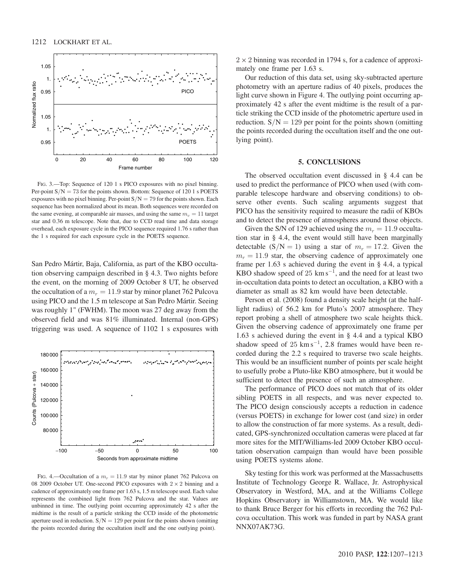

FIG. 3.—Top: Sequence of 120 1 s PICO exposures with no pixel binning. Per-point  $S/N = 73$  for the points shown. Bottom: Sequence of 120 1 s POETS exposures with no pixel binning. Per-point  $S/N = 79$  for the points shown. Each sequence has been normalized about its mean. Both sequences were recorded on the same evening, at comparable air masses, and using the same  $m<sub>v</sub> = 11$  target star and 0.36 m telescope. Note that, due to CCD read time and data storage overhead, each exposure cycle in the PICO sequence required 1.76 s rather than the 1 s required for each exposure cycle in the POETS sequence.

San Pedro Mártir, Baja, California, as part of the KBO occultation observing campaign described in § 4.3. Two nights before the event, on the morning of 2009 October 8 UT, he observed the occultation of a  $m_r = 11.9$  star by minor planet 762 Pulcova using PICO and the 1.5 m telescope at San Pedro Mártir. Seeing was roughly 1" (FWHM). The moon was 27 deg away from the observed field and was 81% illuminated. Internal (non-GPS) triggering was used. A sequence of 1102 1 s exposures with



FIG. 4.—Occultation of a  $m_r = 11.9$  star by minor planet 762 Pulcova on 08 2009 October UT. One-second PICO exposures with  $2 \times 2$  binning and a cadence of approximately one frame per 1.63 s, 1.5 m telescope used. Each value represents the combined light from 762 Pulcova and the star. Values are unbinned in time. The outlying point occurring approximately 42 s after the midtime is the result of a particle striking the CCD inside of the photometric aperture used in reduction.  $S/N = 129$  per point for the points shown (omitting the points recorded during the occultation itself and the one outlying point).

 $2 \times 2$  binning was recorded in 1794 s, for a cadence of approximately one frame per 1.63 s.

Our reduction of this data set, using sky-subtracted aperture photometry with an aperture radius of 40 pixels, produces the light curve shown in Figure 4. The outlying point occurring approximately 42 s after the event midtime is the result of a particle striking the CCD inside of the photometric aperture used in reduction.  $S/N = 129$  per point for the points shown (omitting the points recorded during the occultation itself and the one outlying point).

#### 5. CONCLUSIONS

The observed occultation event discussed in § 4.4 can be used to predict the performance of PICO when used (with comparable telescope hardware and observing conditions) to observe other events. Such scaling arguments suggest that PICO has the sensitivity required to measure the radii of KBOs and to detect the presence of atmospheres around those objects.

Given the S/N of 129 achieved using the  $m_r = 11.9$  occultation star in § 4.4, the event would still have been marginally detectable  $(S/N = 1)$  using a star of  $m_r = 17.2$ . Given the  $m_r = 11.9$  star, the observing cadence of approximately one frame per 1.63 s achieved during the event in § 4.4, a typical KBO shadow speed of 25  $km s^{-1}$ , and the need for at least two in-occultation data points to detect an occultation, a KBO with a diameter as small as 82 km would have been detectable.

Person et al. (2008) found a density scale height (at the halflight radius) of 56.2 km for Pluto's 2007 atmosphere. They report probing a shell of atmosphere two scale heights thick. Given the observing cadence of approximately one frame per 1.63 s achieved during the event in § 4.4 and a typical KBO shadow speed of  $25 \text{ km s}^{-1}$ , 2.8 frames would have been recorded during the 2.2 s required to traverse two scale heights. This would be an insufficient number of points per scale height to usefully probe a Pluto-like KBO atmosphere, but it would be sufficient to detect the presence of such an atmosphere.

The performance of PICO does not match that of its older sibling POETS in all respects, and was never expected to. The PICO design consciously accepts a reduction in cadence (versus POETS) in exchange for lower cost (and size) in order to allow the construction of far more systems. As a result, dedicated, GPS-synchronized occultation cameras were placed at far more sites for the MIT/Williams-led 2009 October KBO occultation observation campaign than would have been possible using POETS systems alone.

Sky testing for this work was performed at the Massachusetts Institute of Technology George R. Wallace, Jr. Astrophysical Observatory in Westford, MA, and at the Williams College Hopkins Observatory in Williamstown, MA. We would like to thank Bruce Berger for his efforts in recording the 762 Pulcova occultation. This work was funded in part by NASA grant NNX07AK73G.